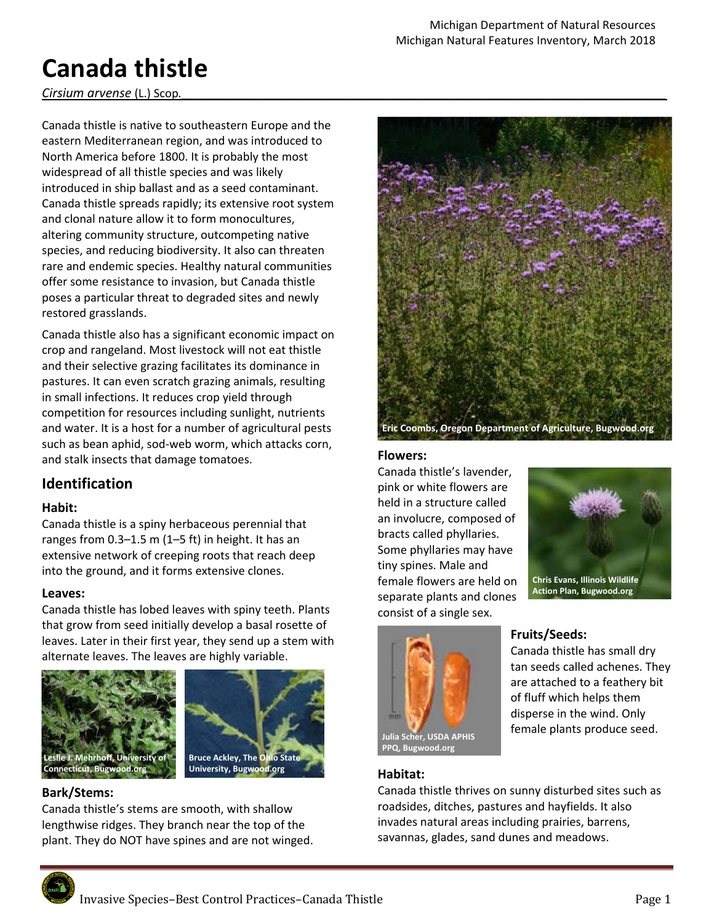# **Canada thistle**

### *Cirsium arvense* (L.) Scop.

Canada thistle is native to southeastern Europe and the eastern Mediterranean region, and was introduced to North America before 1800. It is probably the most widespread of all thistle species and was likely introduced in ship ballast and as a seed contaminant. Canada thistle spreads rapidly; its extensive root system and clonal nature allow it to form monocultures, altering community structure, outcompeting native species, and reducing biodiversity. It also can threaten rare and endemic species. Healthy natural communities offer some resistance to invasion, but Canada thistle poses a particular threat to degraded sites and newly restored grasslands.

Canada thistle also has a significant economic impact on crop and rangeland. Most livestock will not eat thistle and their selective grazing facilitates its dominance in pastures. It can even scratch grazing animals, resulting in small infections. It reduces crop yield through competition for resources including sunlight, nutrients and water. It is a host for a number of agricultural pests such as bean aphid, sod‐web worm, which attacks corn, and stalk insects that damage tomatoes.

# **Identification**

#### **Habit:**

Canada thistle is a spiny herbaceous perennial that ranges from  $0.3-1.5$  m  $(1-5$  ft) in height. It has an extensive network of creeping roots that reach deep into the ground, and it forms extensive clones.

#### **Leaves:**

Canada thistle has lobed leaves with spiny teeth. Plants that grow from seed initially develop a basal rosette of leaves. Later in their first year, they send up a stem with alternate leaves. The leaves are highly variable.





#### **Bark/Stems:**

Canada thistle's stems are smooth, with shallow lengthwise ridges. They branch near the top of the plant. They do NOT have spines and are not winged.



# **Flowers:**

Canada thistle's lavender, pink or white flowers are held in a structure called an involucre, composed of bracts called phyllaries. Some phyllaries may have tiny spines. Male and female flowers are held on separate plants and clones consist of a single sex.





#### **Habitat:**

# **Fruits/Seeds:**

Canada thistle has small dry tan seeds called achenes. They are attached to a feathery bit of fluff which helps them disperse in the wind. Only female plants produce seed.

Canada thistle thrives on sunny disturbed sites such as roadsides, ditches, pastures and hayfields. It also invades natural areas including prairies, barrens, savannas, glades, sand dunes and meadows.

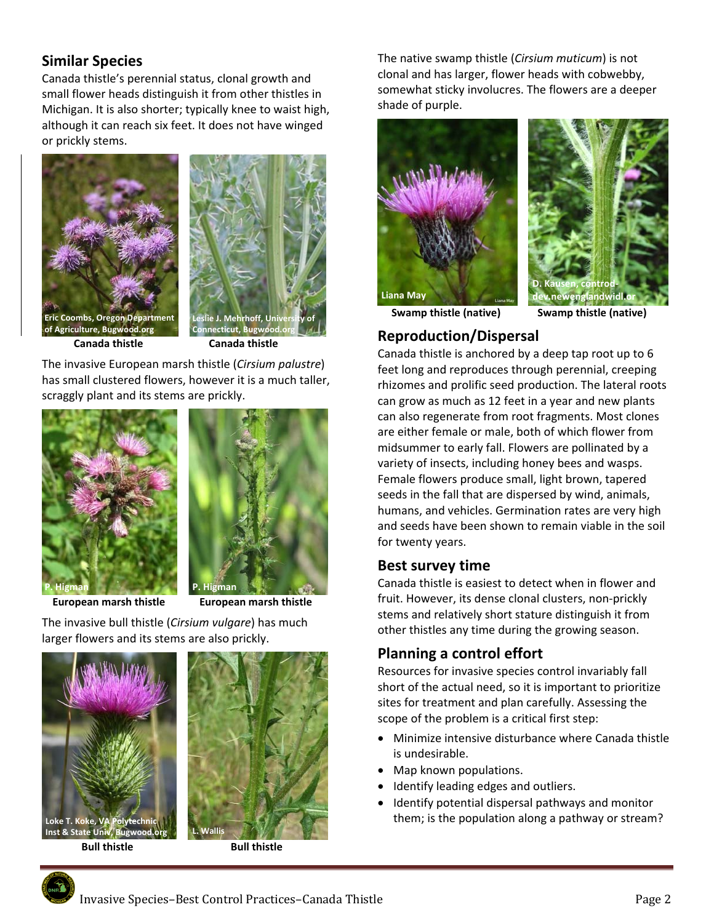# **Similar Species**

Canada thistle's perennial status, clonal growth and small flower heads distinguish it from other thistles in Michigan. It is also shorter; typically knee to waist high, although it can reach six feet. It does not have winged or prickly stems.





**Connecticut, Bugwood.org Connecticut, Bugwood.org Connecticut, Bugwood.org Connecticut, Bugwood.** 

The invasive European marsh thistle (*Cirsium palustre*) has small clustered flowers, however it is a much taller, scraggly plant and its stems are prickly.



 **European marsh thistle European marsh thistle** 



The invasive bull thistle (*Cirsium vulgare*) has much larger flowers and its stems are also prickly.





The native swamp thistle (*Cirsium muticum*) is not clonal and has larger, flower heads with cobwebby, somewhat sticky involucres. The flowers are a deeper shade of purple.





# **Reproduction/Dispersal**

Canada thistle is anchored by a deep tap root up to 6 feet long and reproduces through perennial, creeping rhizomes and prolific seed production. The lateral roots can grow as much as 12 feet in a year and new plants can also regenerate from root fragments. Most clones are either female or male, both of which flower from

midsummer to early fall. Flowers are pollinated by a variety of insects, including honey bees and wasps. Female flowers produce small, light brown, tapered seeds in the fall that are dispersed by wind, animals, humans, and vehicles. Germination rates are very high and seeds have been shown to remain viable in the soil for twenty years.

# **Best survey time**

Canada thistle is easiest to detect when in flower and fruit. However, its dense clonal clusters, non‐prickly stems and relatively short stature distinguish it from other thistles any time during the growing season.

# **Planning a control effort**

Resources for invasive species control invariably fall short of the actual need, so it is important to prioritize sites for treatment and plan carefully. Assessing the scope of the problem is a critical first step:

- Minimize intensive disturbance where Canada thistle is undesirable.
- Map known populations.
- Identify leading edges and outliers.
- Identify potential dispersal pathways and monitor Loke T. Koke, VA Polytechnic **All and Themes and Temperature in them**; is the population along a pathway or stream?

Invasive Species–Best Control Practices–Canada Thistle **Department of the Control** Page 2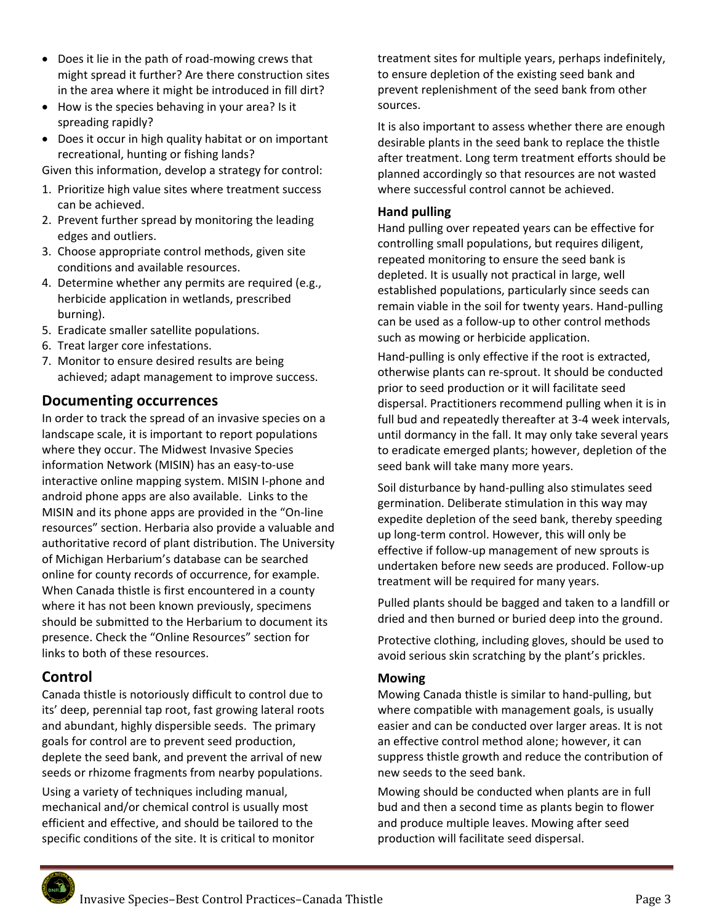- Does it lie in the path of road-mowing crews that might spread it further? Are there construction sites in the area where it might be introduced in fill dirt?
- How is the species behaving in your area? Is it spreading rapidly?
- Does it occur in high quality habitat or on important recreational, hunting or fishing lands?

Given this information, develop a strategy for control:

- 1. Prioritize high value sites where treatment success can be achieved.
- 2. Prevent further spread by monitoring the leading edges and outliers.
- 3. Choose appropriate control methods, given site conditions and available resources.
- 4. Determine whether any permits are required (e.g., herbicide application in wetlands, prescribed burning).
- 5. Eradicate smaller satellite populations.
- 6. Treat larger core infestations.
- 7. Monitor to ensure desired results are being achieved; adapt management to improve success.

## **Documenting occurrences**

In order to track the spread of an invasive species on a landscape scale, it is important to report populations where they occur. The Midwest Invasive Species information Network (MISIN) has an easy‐to‐use interactive online mapping system. MISIN I‐phone and android phone apps are also available. Links to the MISIN and its phone apps are provided in the "On‐line resources" section. Herbaria also provide a valuable and authoritative record of plant distribution. The University of Michigan Herbarium's database can be searched online for county records of occurrence, for example. When Canada thistle is first encountered in a county where it has not been known previously, specimens should be submitted to the Herbarium to document its presence. Check the "Online Resources" section for links to both of these resources.

# **Control**

Canada thistle is notoriously difficult to control due to its' deep, perennial tap root, fast growing lateral roots and abundant, highly dispersible seeds. The primary goals for control are to prevent seed production, deplete the seed bank, and prevent the arrival of new seeds or rhizome fragments from nearby populations.

Using a variety of techniques including manual, mechanical and/or chemical control is usually most efficient and effective, and should be tailored to the specific conditions of the site. It is critical to monitor

treatment sites for multiple years, perhaps indefinitely, to ensure depletion of the existing seed bank and prevent replenishment of the seed bank from other sources.

It is also important to assess whether there are enough desirable plants in the seed bank to replace the thistle after treatment. Long term treatment efforts should be planned accordingly so that resources are not wasted where successful control cannot be achieved.

### **Hand pulling**

Hand pulling over repeated years can be effective for controlling small populations, but requires diligent, repeated monitoring to ensure the seed bank is depleted. It is usually not practical in large, well established populations, particularly since seeds can remain viable in the soil for twenty years. Hand‐pulling can be used as a follow‐up to other control methods such as mowing or herbicide application.

Hand‐pulling is only effective if the root is extracted, otherwise plants can re‐sprout. It should be conducted prior to seed production or it will facilitate seed dispersal. Practitioners recommend pulling when it is in full bud and repeatedly thereafter at 3‐4 week intervals, until dormancy in the fall. It may only take several years to eradicate emerged plants; however, depletion of the seed bank will take many more years.

Soil disturbance by hand‐pulling also stimulates seed germination. Deliberate stimulation in this way may expedite depletion of the seed bank, thereby speeding up long‐term control. However, this will only be effective if follow‐up management of new sprouts is undertaken before new seeds are produced. Follow‐up treatment will be required for many years.

Pulled plants should be bagged and taken to a landfill or dried and then burned or buried deep into the ground.

Protective clothing, including gloves, should be used to avoid serious skin scratching by the plant's prickles.

## **Mowing**

Mowing Canada thistle is similar to hand‐pulling, but where compatible with management goals, is usually easier and can be conducted over larger areas. It is not an effective control method alone; however, it can suppress thistle growth and reduce the contribution of new seeds to the seed bank.

Mowing should be conducted when plants are in full bud and then a second time as plants begin to flower and produce multiple leaves. Mowing after seed production will facilitate seed dispersal.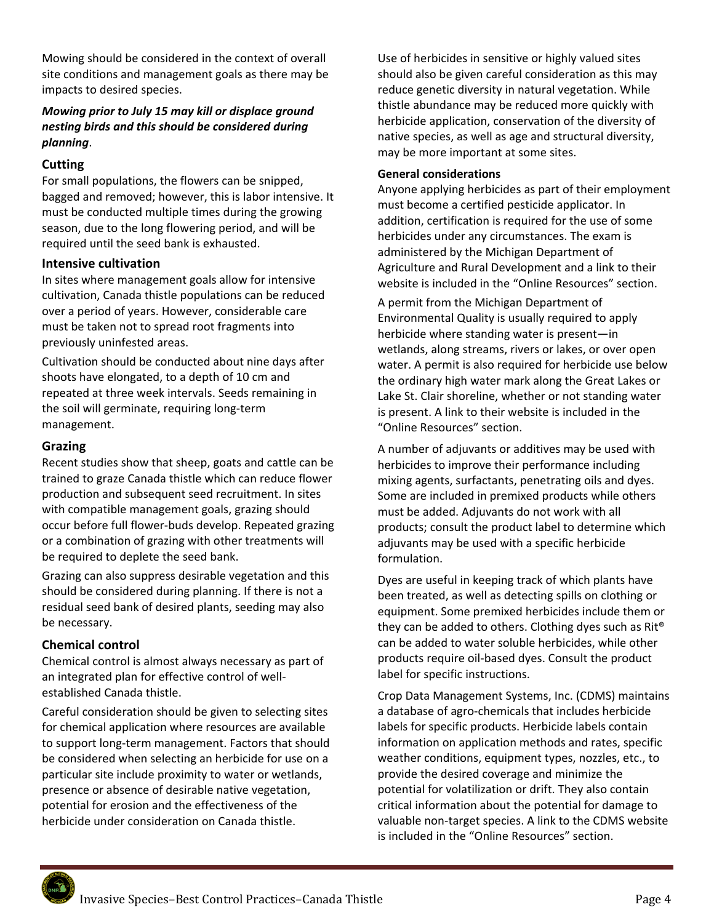Mowing should be considered in the context of overall site conditions and management goals as there may be impacts to desired species.

#### *Mowing prior to July 15 may kill or displace ground nesting birds and this should be considered during planning*.

#### **Cutting**

For small populations, the flowers can be snipped, bagged and removed; however, this is labor intensive. It must be conducted multiple times during the growing season, due to the long flowering period, and will be required until the seed bank is exhausted.

#### **Intensive cultivation**

In sites where management goals allow for intensive cultivation, Canada thistle populations can be reduced over a period of years. However, considerable care must be taken not to spread root fragments into previously uninfested areas.

Cultivation should be conducted about nine days after shoots have elongated, to a depth of 10 cm and repeated at three week intervals. Seeds remaining in the soil will germinate, requiring long‐term management.

#### **Grazing**

Recent studies show that sheep, goats and cattle can be trained to graze Canada thistle which can reduce flower production and subsequent seed recruitment. In sites with compatible management goals, grazing should occur before full flower‐buds develop. Repeated grazing or a combination of grazing with other treatments will be required to deplete the seed bank.

Grazing can also suppress desirable vegetation and this should be considered during planning. If there is not a residual seed bank of desired plants, seeding may also be necessary.

#### **Chemical control**

Chemical control is almost always necessary as part of an integrated plan for effective control of well‐ established Canada thistle.

Careful consideration should be given to selecting sites for chemical application where resources are available to support long‐term management. Factors that should be considered when selecting an herbicide for use on a particular site include proximity to water or wetlands, presence or absence of desirable native vegetation, potential for erosion and the effectiveness of the herbicide under consideration on Canada thistle.

Use of herbicides in sensitive or highly valued sites should also be given careful consideration as this may reduce genetic diversity in natural vegetation. While thistle abundance may be reduced more quickly with herbicide application, conservation of the diversity of native species, as well as age and structural diversity, may be more important at some sites.

#### **General considerations**

Anyone applying herbicides as part of their employment must become a certified pesticide applicator. In addition, certification is required for the use of some herbicides under any circumstances. The exam is administered by the Michigan Department of Agriculture and Rural Development and a link to their website is included in the "Online Resources" section.

A permit from the Michigan Department of Environmental Quality is usually required to apply herbicide where standing water is present—in wetlands, along streams, rivers or lakes, or over open water. A permit is also required for herbicide use below the ordinary high water mark along the Great Lakes or Lake St. Clair shoreline, whether or not standing water is present. A link to their website is included in the "Online Resources" section.

A number of adjuvants or additives may be used with herbicides to improve their performance including mixing agents, surfactants, penetrating oils and dyes. Some are included in premixed products while others must be added. Adjuvants do not work with all products; consult the product label to determine which adjuvants may be used with a specific herbicide formulation.

Dyes are useful in keeping track of which plants have been treated, as well as detecting spills on clothing or equipment. Some premixed herbicides include them or they can be added to others. Clothing dyes such as  $\text{Rit}^{\odot}$ can be added to water soluble herbicides, while other products require oil‐based dyes. Consult the product label for specific instructions.

Crop Data Management Systems, Inc. (CDMS) maintains a database of agro‐chemicals that includes herbicide labels for specific products. Herbicide labels contain information on application methods and rates, specific weather conditions, equipment types, nozzles, etc., to provide the desired coverage and minimize the potential for volatilization or drift. They also contain critical information about the potential for damage to valuable non-target species. A link to the CDMS website is included in the "Online Resources" section.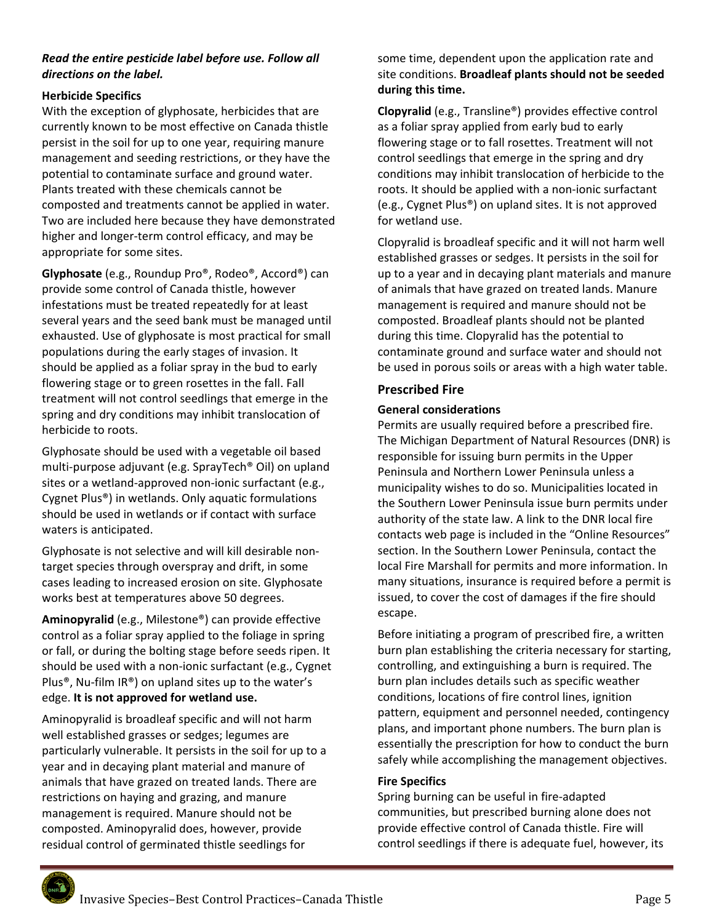#### *Read the entire pesticide label before use. Follow all directions on the label.*

#### **Herbicide Specifics**

With the exception of glyphosate, herbicides that are currently known to be most effective on Canada thistle persist in the soil for up to one year, requiring manure management and seeding restrictions, or they have the potential to contaminate surface and ground water. Plants treated with these chemicals cannot be composted and treatments cannot be applied in water. Two are included here because they have demonstrated higher and longer‐term control efficacy, and may be appropriate for some sites.

**Glyphosate** (e.g., Roundup Pro®, Rodeo®, Accord®) can provide some control of Canada thistle, however infestations must be treated repeatedly for at least several years and the seed bank must be managed until exhausted. Use of glyphosate is most practical for small populations during the early stages of invasion. It should be applied as a foliar spray in the bud to early flowering stage or to green rosettes in the fall. Fall treatment will not control seedlings that emerge in the spring and dry conditions may inhibit translocation of herbicide to roots.

Glyphosate should be used with a vegetable oil based multi‐purpose adjuvant (e.g. SprayTech® Oil) on upland sites or a wetland‐approved non‐ionic surfactant (e.g., Cygnet Plus®) in wetlands. Only aquatic formulations should be used in wetlands or if contact with surface waters is anticipated.

Glyphosate is not selective and will kill desirable non‐ target species through overspray and drift, in some cases leading to increased erosion on site. Glyphosate works best at temperatures above 50 degrees.

**Aminopyralid** (e.g., Milestone®) can provide effective control as a foliar spray applied to the foliage in spring or fall, or during the bolting stage before seeds ripen. It should be used with a non‐ionic surfactant (e.g., Cygnet Plus®, Nu‐film IR®) on upland sites up to the water's edge. **It is not approved for wetland use.**

Aminopyralid is broadleaf specific and will not harm well established grasses or sedges; legumes are particularly vulnerable. It persists in the soil for up to a year and in decaying plant material and manure of animals that have grazed on treated lands. There are restrictions on haying and grazing, and manure management is required. Manure should not be composted. Aminopyralid does, however, provide residual control of germinated thistle seedlings for

#### some time, dependent upon the application rate and site conditions. **Broadleaf plants should not be seeded during this time.**

**Clopyralid** (e.g., Transline®) provides effective control as a foliar spray applied from early bud to early flowering stage or to fall rosettes. Treatment will not control seedlings that emerge in the spring and dry conditions may inhibit translocation of herbicide to the roots. It should be applied with a non‐ionic surfactant (e.g., Cygnet Plus®) on upland sites. It is not approved for wetland use.

Clopyralid is broadleaf specific and it will not harm well established grasses or sedges. It persists in the soil for up to a year and in decaying plant materials and manure of animals that have grazed on treated lands. Manure management is required and manure should not be composted. Broadleaf plants should not be planted during this time. Clopyralid has the potential to contaminate ground and surface water and should not be used in porous soils or areas with a high water table.

#### **Prescribed Fire**

#### **General considerations**

Permits are usually required before a prescribed fire. The Michigan Department of Natural Resources (DNR) is responsible for issuing burn permits in the Upper Peninsula and Northern Lower Peninsula unless a municipality wishes to do so. Municipalities located in the Southern Lower Peninsula issue burn permits under authority of the state law. A link to the DNR local fire contacts web page is included in the "Online Resources" section. In the Southern Lower Peninsula, contact the local Fire Marshall for permits and more information. In many situations, insurance is required before a permit is issued, to cover the cost of damages if the fire should escape.

Before initiating a program of prescribed fire, a written burn plan establishing the criteria necessary for starting, controlling, and extinguishing a burn is required. The burn plan includes details such as specific weather conditions, locations of fire control lines, ignition pattern, equipment and personnel needed, contingency plans, and important phone numbers. The burn plan is essentially the prescription for how to conduct the burn safely while accomplishing the management objectives.

#### **Fire Specifics**

Spring burning can be useful in fire‐adapted communities, but prescribed burning alone does not provide effective control of Canada thistle. Fire will control seedlings if there is adequate fuel, however, its

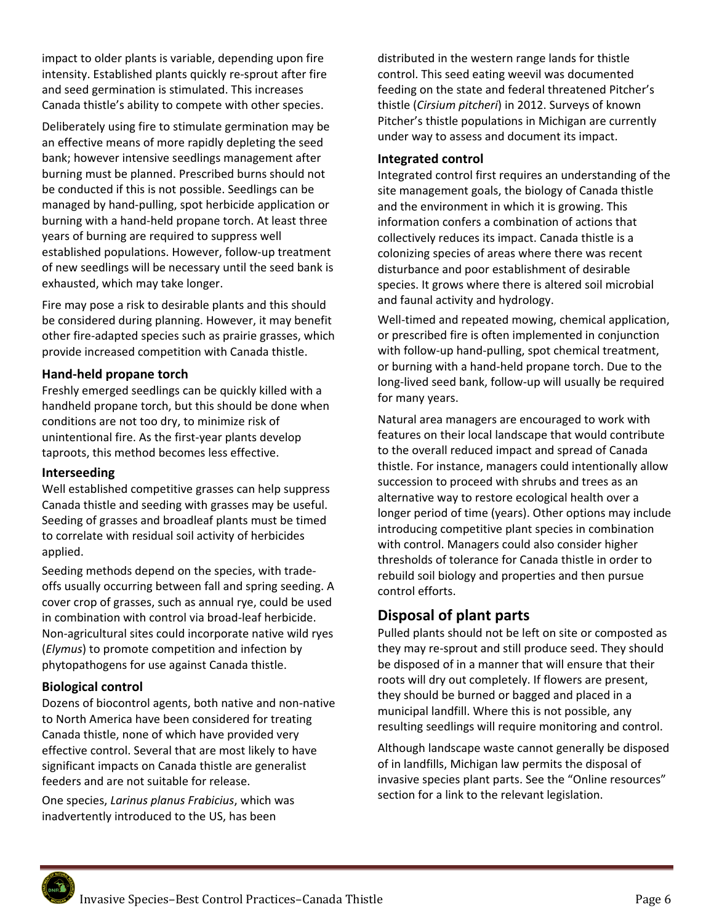impact to older plants is variable, depending upon fire intensity. Established plants quickly re‐sprout after fire and seed germination is stimulated. This increases Canada thistle's ability to compete with other species.

Deliberately using fire to stimulate germination may be an effective means of more rapidly depleting the seed bank; however intensive seedlings management after burning must be planned. Prescribed burns should not be conducted if this is not possible. Seedlings can be managed by hand‐pulling, spot herbicide application or burning with a hand‐held propane torch. At least three years of burning are required to suppress well established populations. However, follow‐up treatment of new seedlings will be necessary until the seed bank is exhausted, which may take longer.

Fire may pose a risk to desirable plants and this should be considered during planning. However, it may benefit other fire‐adapted species such as prairie grasses, which provide increased competition with Canada thistle.

#### **Hand‐held propane torch**

Freshly emerged seedlings can be quickly killed with a handheld propane torch, but this should be done when conditions are not too dry, to minimize risk of unintentional fire. As the first‐year plants develop taproots, this method becomes less effective.

#### **Interseeding**

Well established competitive grasses can help suppress Canada thistle and seeding with grasses may be useful. Seeding of grasses and broadleaf plants must be timed to correlate with residual soil activity of herbicides applied.

Seeding methods depend on the species, with trade‐ offs usually occurring between fall and spring seeding. A cover crop of grasses, such as annual rye, could be used in combination with control via broad‐leaf herbicide. Non‐agricultural sites could incorporate native wild ryes (*Elymus*) to promote competition and infection by phytopathogens for use against Canada thistle.

#### **Biological control**

Dozens of biocontrol agents, both native and non‐native to North America have been considered for treating Canada thistle, none of which have provided very effective control. Several that are most likely to have significant impacts on Canada thistle are generalist feeders and are not suitable for release.

One species, *Larinus planus Frabicius*, which was inadvertently introduced to the US, has been

distributed in the western range lands for thistle control. This seed eating weevil was documented feeding on the state and federal threatened Pitcher's thistle (*Cirsium pitcheri*) in 2012. Surveys of known Pitcher's thistle populations in Michigan are currently under way to assess and document its impact.

#### **Integrated control**

Integrated control first requires an understanding of the site management goals, the biology of Canada thistle and the environment in which it is growing. This information confers a combination of actions that collectively reduces its impact. Canada thistle is a colonizing species of areas where there was recent disturbance and poor establishment of desirable species. It grows where there is altered soil microbial and faunal activity and hydrology.

Well-timed and repeated mowing, chemical application, or prescribed fire is often implemented in conjunction with follow-up hand-pulling, spot chemical treatment, or burning with a hand‐held propane torch. Due to the long‐lived seed bank, follow‐up will usually be required for many years.

Natural area managers are encouraged to work with features on their local landscape that would contribute to the overall reduced impact and spread of Canada thistle. For instance, managers could intentionally allow succession to proceed with shrubs and trees as an alternative way to restore ecological health over a longer period of time (years). Other options may include introducing competitive plant species in combination with control. Managers could also consider higher thresholds of tolerance for Canada thistle in order to rebuild soil biology and properties and then pursue control efforts.

# **Disposal of plant parts**

Pulled plants should not be left on site or composted as they may re‐sprout and still produce seed. They should be disposed of in a manner that will ensure that their roots will dry out completely. If flowers are present, they should be burned or bagged and placed in a municipal landfill. Where this is not possible, any resulting seedlings will require monitoring and control.

Although landscape waste cannot generally be disposed of in landfills, Michigan law permits the disposal of invasive species plant parts. See the "Online resources" section for a link to the relevant legislation.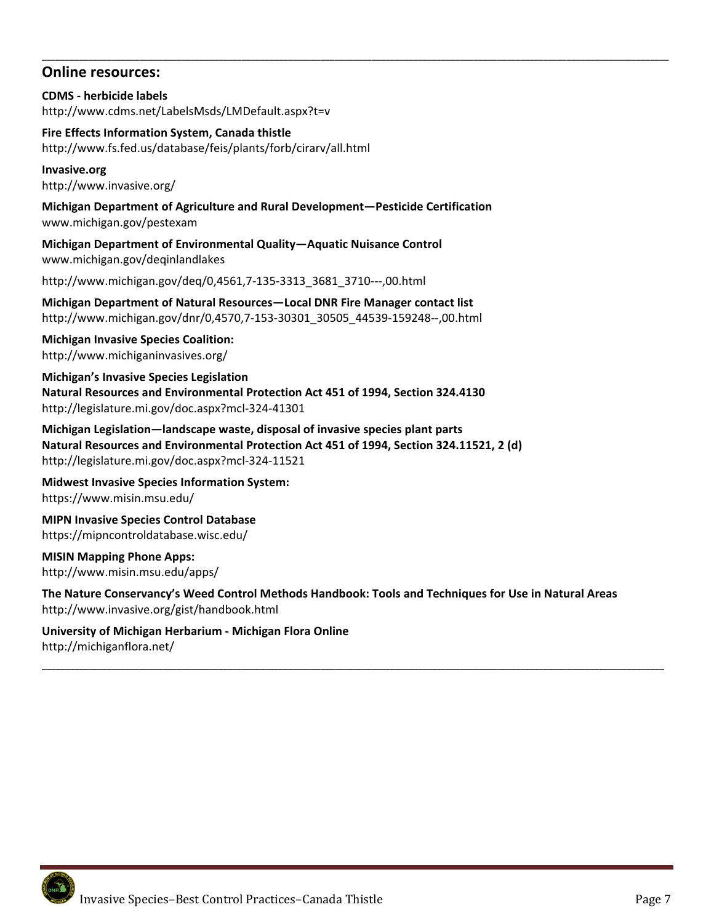## **Online resources:**

**CDMS ‐ herbicide labels**  http://www.cdms.net/LabelsMsds/LMDefault.aspx?t=v

**Fire Effects Information System, Canada thistle**  http://www.fs.fed.us/database/feis/plants/forb/cirarv/all.html

**Invasive.org**  http://www.invasive.org/

**Michigan Department of Agriculture and Rural Development—Pesticide Certification**  www.michigan.gov/pestexam

**\_\_\_\_\_\_\_\_\_\_\_\_\_\_\_\_\_\_\_\_\_\_\_\_\_\_\_\_\_\_\_\_\_\_\_\_\_\_\_\_\_\_\_\_\_\_\_\_\_\_\_\_\_\_\_\_\_\_\_\_\_\_\_\_\_\_\_\_\_\_\_\_\_\_\_\_\_\_\_\_\_\_\_\_\_\_\_\_\_\_\_\_\_\_\_\_\_\_\_\_\_\_\_\_\_\_\_\_\_\_\_\_\_\_\_\_\_\_\_\_\_\_\_\_\_\_\_\_\_\_\_\_\_\_\_** 

**Michigan Department of Environmental Quality—Aquatic Nuisance Control**  www.michigan.gov/deqinlandlakes

http://www.michigan.gov/deq/0,4561,7‐135‐3313\_3681\_3710‐‐‐,00.html

**Michigan Department of Natural Resources—Local DNR Fire Manager contact list**  http://www.michigan.gov/dnr/0,4570,7‐153‐30301\_30505\_44539‐159248‐‐,00.html

**Michigan Invasive Species Coalition:**  http://www.michiganinvasives.org/

**Michigan's Invasive Species Legislation Natural Resources and Environmental Protection Act 451 of 1994, Section 324.4130**  http://legislature.mi.gov/doc.aspx?mcl‐324‐41301

**Michigan Legislation—landscape waste, disposal of invasive species plant parts Natural Resources and Environmental Protection Act 451 of 1994, Section 324.11521, 2 (d)**  http://legislature.mi.gov/doc.aspx?mcl‐324‐11521

**Midwest Invasive Species Information System:** https://www.misin.msu.edu/

**MIPN Invasive Species Control Database**  https://mipncontroldatabase.wisc.edu/

**MISIN Mapping Phone Apps:** http://www.misin.msu.edu/apps/

**The Nature Conservancy's Weed Control Methods Handbook: Tools and Techniques for Use in Natural Areas**  http://www.invasive.org/gist/handbook.html

**\_\_\_\_\_\_\_\_\_\_\_\_\_\_\_\_\_\_\_\_\_\_\_\_\_\_\_\_\_\_\_\_\_\_\_\_\_\_\_\_\_\_\_\_\_\_\_\_\_\_\_\_\_\_\_\_\_\_\_\_\_\_\_\_\_\_\_\_\_\_\_\_\_\_\_\_\_\_\_\_\_\_\_\_\_\_\_\_\_\_\_\_\_\_\_\_\_\_\_\_\_\_\_\_\_\_\_\_\_\_\_\_\_\_\_\_\_\_\_\_\_\_\_\_\_\_\_\_\_\_\_\_\_\_** 

**University of Michigan Herbarium ‐ Michigan Flora Online**  http://michiganflora.net/